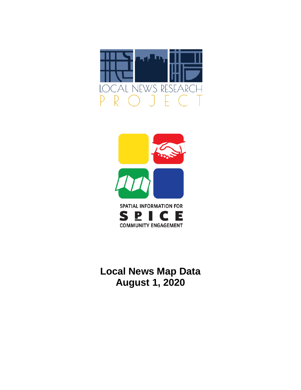



# **Local News Map Data August 1, 2020**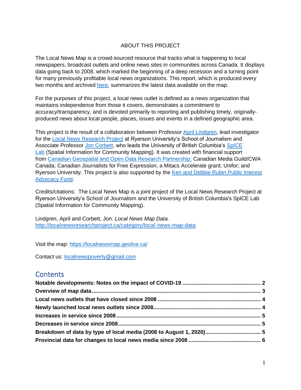#### ABOUT THIS PROJECT

The Local News Map is a crowd-sourced resource that tracks what is happening to local newspapers, broadcast outlets and online news sites in communities across Canada. It displays data going back to 2008, which marked the beginning of a deep recession and a turning point for many previously profitable local news organizations. This report, which is produced every two months and archived [here,](http://localnewsresearchproject.ca/category/local-news-map-data) summarizes the latest data available on the map.

For the purposes of this project, a local news outlet is defined as a news organization that maintains independence from those it covers, demonstrates a commitment to accuracy/transparency, and is devoted primarily to reporting and publishing timely, originallyproduced news about local people, places, issues and events in a defined geographic area.

This project is the result of a collaboration between Professor [April Lindgren,](http://rsj.journalism.ryerson.ca/team/april-lindgren/) lead investigator for the [Local News Research Project](http://localnewsresearchproject.ca/) at Ryerson University's School of Journalism and Associate Professor [Jon Corbett,](http://joncorbett.com/JonCorbett/Home.html) who leads the University of British Columbia's [SpICE](http://spice.geolive.ca/)  [Lab](http://spice.geolive.ca/) (Spatial Information for Community Mapping). It was created with financial support from [Canadian Geospatial and Open Data Research Partnership;](http://geothink.ca/) Canadian Media Guild/CWA Canada; Canadian Journalists for Free Expression; a Mitacs Accelerate grant; Unifor; and Ryerson University. This project is also supported by the [Ken and Debbie Rubin Public Interest](http://kenrubin.ca/grants/)  [Advocacy Fund.](http://kenrubin.ca/grants/)

Credits/citations: The Local News Map is a joint project of the Local News Research Project at Ryerson University's School of Journalism and the University of British Columbia's SpICE Lab (Spatial Information for Community Mapping).

Lindgren, April and Corbett, Jon. *Local News Map Data.*  <http://localnewsresearchproject.ca/category/local-news-map-data>

Visit the map:<https://localnewsmap.geolive.ca/>

Contact us: [localnewspoverty@gmail.com](mailto:localnewspoverty@gmail.com)

### **Contents**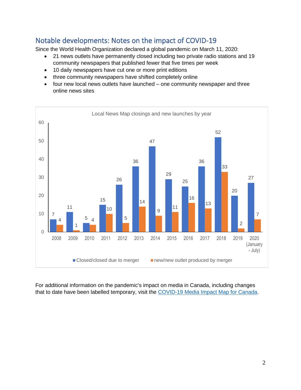## <span id="page-2-0"></span>Notable developments: Notes on the impact of COVID-19

<span id="page-2-1"></span>Since the World Health Organization declared a global pandemic on March 11, 2020:

- 21 news outlets have permanently closed including two private radio stations and 19 community newspapers that published fewer that five times per week
- 10 daily newspapers have cut one or more print editions
- three community newspapers have shifted completely online
- four new local news outlets have launched one community newspaper and three online news sites



For additional information on the pandemic's impact on media in Canada, including changes that to date have been labelled temporary, visit the [COVID-19 Media Impact Map for Canada.](https://localnewsresearchproject.ca/covid-19-media-impact-map-for-canada/)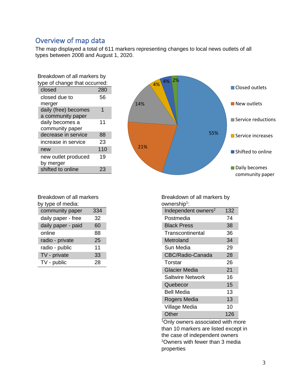### Overview of map data

The map displayed a total of 611 markers representing changes to local news outlets of all types between 2008 and August 1, 2020.

| Breakdown of all markers by<br>type of change that occurred: |     |  |  |  |
|--------------------------------------------------------------|-----|--|--|--|
| closed                                                       | 280 |  |  |  |
| closed due to<br>merger                                      | 56  |  |  |  |
| daily (free) becomes<br>a community paper                    | 1   |  |  |  |
| daily becomes a<br>community paper                           | 11  |  |  |  |
| decrease in service                                          | 88  |  |  |  |
| increase in service                                          | 23  |  |  |  |
| new                                                          | 110 |  |  |  |
| new outlet produced<br>by merger                             | 19  |  |  |  |
| shifted to online                                            |     |  |  |  |



Breakdown of all markers by type of media:

| community paper    | 334 |
|--------------------|-----|
| daily paper - free | 32  |
| daily paper - paid | 60  |
| online             | 88  |
| radio - private    | 25  |
| radio - public     | 11  |
| TV - private       | 33  |
| TV - public        | 28  |

Breakdown of all markers by ownership<sup>1</sup>: Independent owners $2$  132 Postmedia 74 Black Press 38 Transcontinental 36 Metroland 34 Sun Media 29 CBC/Radio-Canada 28 Torstar 26 Glacier Media 21 Saltwire Network 16 Quebecor 15 Bell Media 13 Rogers Media 13 Village Media 10 Other 126

<sup>1</sup>Only owners associated with more than 10 markers are listed except in the case of independent owners <sup>2</sup>Owners with fewer than 3 media properties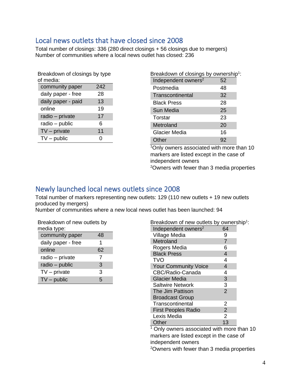### <span id="page-4-0"></span>Local news outlets that have closed since 2008

Total number of closings: 336 (280 direct closings + 56 closings due to mergers) Number of communities where a local news outlet has closed: 236

| Breakdown of closings by type |     |  |  |  |
|-------------------------------|-----|--|--|--|
| of media:                     |     |  |  |  |
| community paper               | 242 |  |  |  |
| daily paper - free            | 28  |  |  |  |
| daily paper - paid            | 13  |  |  |  |
| online                        | 19  |  |  |  |
| radio - private               | 17  |  |  |  |
| radio - public                | 6   |  |  |  |
| $TV$ – private                | 11  |  |  |  |
| $TV$ – public                 | ( ) |  |  |  |

| Breakdown of closings by ownership <sup>1</sup> : |    |
|---------------------------------------------------|----|
| Independent owners <sup>2</sup>                   | 52 |
| Postmedia                                         | 48 |
| Transcontinental                                  | 32 |
| <b>Black Press</b>                                | 28 |
| Sun Media                                         | 25 |
| Torstar                                           | 23 |
| Metroland                                         | 20 |
| Glacier Media                                     | 16 |
| Other                                             | 92 |

<sup>1</sup>Only owners associated with more than 10 markers are listed except in the case of independent owners

<sup>2</sup>Owners with fewer than 3 media properties

### <span id="page-4-1"></span>Newly launched local news outlets since 2008

Total number of markers representing new outlets: 129 (110 new outlets + 19 new outlets produced by mergers)

Number of communities where a new local news outlet has been launched: 94

| Breakdown of new outlets by<br>media type: |    |  |  |  |
|--------------------------------------------|----|--|--|--|
| community paper                            | 48 |  |  |  |
| daily paper - free                         | 1  |  |  |  |
| online                                     | 62 |  |  |  |
| radio – private                            | 7  |  |  |  |
| radio - public                             | 3  |  |  |  |
| $TV$ – private                             | 3  |  |  |  |
| $TV$ – public                              | 5  |  |  |  |

| Breakdown of new outlets by ownership <sup>1</sup> : |                |  |
|------------------------------------------------------|----------------|--|
| Independent owners <sup>2</sup>                      | 64             |  |
| Village Media                                        | 9              |  |
| Metroland                                            | $\overline{7}$ |  |
| Rogers Media                                         | 6              |  |
| <b>Black Press</b>                                   | 4              |  |
| <b>TVO</b>                                           | 4              |  |
| <b>Your Community Voice</b>                          | 4              |  |
| CBC/Radio-Canada                                     | 4              |  |
| <b>Glacier Media</b>                                 | 3              |  |
| <b>Saltwire Network</b>                              | 3              |  |
| The Jim Pattison                                     | $\mathfrak{p}$ |  |
| <b>Broadcast Group</b>                               |                |  |
| Transcontinental                                     | 2              |  |
| <b>First Peoples Radio</b>                           | $\overline{2}$ |  |
| Lexis Media                                          | 2              |  |
| Other                                                | 13             |  |

<sup>1</sup> Only owners associated with more than 10 markers are listed except in the case of independent owners

2Owners with fewer than 3 media properties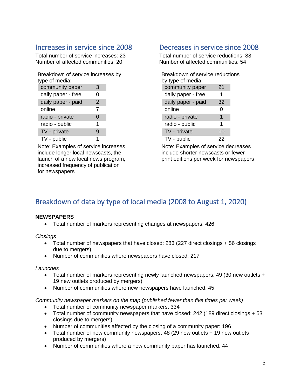### <span id="page-5-0"></span>Increases in service since 2008

Total number of service increases: 23 Number of affected communities: 20

Breakdown of service increases by type of media:

| community paper    | 3 |
|--------------------|---|
| daily paper - free | 0 |
| daily paper - paid | 2 |
| online             | 7 |
| radio - private    | 0 |
| radio - public     | 1 |
| TV - private       | g |
| TV - public        |   |

Note: Examples of service increases include longer local newscasts, the launch of a new local news program, increased frequency of publication for newspapers

### <span id="page-5-1"></span>Decreases in service since 2008

Total number of service reductions: 88 Number of affected communities: 54

| Breakdown of service reductions |    |  |  |  |  |
|---------------------------------|----|--|--|--|--|
| by type of media:               |    |  |  |  |  |
| community paper                 | 21 |  |  |  |  |
| daily paper - free              | 1  |  |  |  |  |
| daily paper - paid              | 32 |  |  |  |  |
| online                          | 0  |  |  |  |  |
| radio - private                 | 1  |  |  |  |  |
| radio - public                  | 1  |  |  |  |  |
| TV - private                    | 10 |  |  |  |  |
| TV - public                     | 22 |  |  |  |  |

Note: Examples of service decreases include shorter newscasts or fewer print editions per week for newspapers

# <span id="page-5-2"></span>Breakdown of data by type of local media (2008 to August 1, 2020)

#### **NEWSPAPERS**

• Total number of markers representing changes at newspapers: 426

*Closings*

- Total number of newspapers that have closed: 283 (227 direct closings + 56 closings due to mergers)
- Number of communities where newspapers have closed: 217

*Launches*

- Total number of markers representing newly launched newspapers: 49 (30 new outlets + 19 new outlets produced by mergers)
- Number of communities where new newspapers have launched: 45

*Community newspaper markers on the map (published fewer than five times per week)* 

- Total number of community newspaper markers: 334
- Total number of community newspapers that have closed: 242 (189 direct closings + 53 closings due to mergers)
- Number of communities affected by the closing of a community paper: 196
- Total number of new community newspapers: 48 (29 new outlets + 19 new outlets produced by mergers)
- Number of communities where a new community paper has launched: 44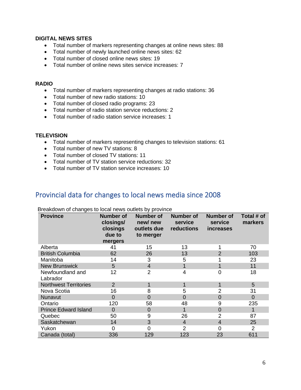#### **DIGITAL NEWS SITES**

- Total number of markers representing changes at online news sites: 88
- Total number of newly launched online news sites: 62
- Total number of closed online news sites: 19
- Total number of online news sites service increases: 7

#### **RADIO**

- Total number of markers representing changes at radio stations: 36
- Total number of new radio stations: 10
- Total number of closed radio programs: 23
- Total number of radio station service reductions: 2
- Total number of radio station service increases: 1

#### **TELEVISION**

- Total number of markers representing changes to television stations: 61
- Total number of new TV stations: 8
- Total number of closed TV stations: 11
- Total number of TV station service reductions: 32
- Total number of TV station service increases: 10

#### <span id="page-6-0"></span>Provincial data for changes to local news media since 2008

| <b>Province</b>              | <b>Number of</b><br>closings/<br>closings<br>due to<br>mergers | Number of<br>new/new<br>outlets due<br>to merger | <b>Number of</b><br>service<br>reductions | <b>Number of</b><br>service<br>increases | Total # of<br>markers |
|------------------------------|----------------------------------------------------------------|--------------------------------------------------|-------------------------------------------|------------------------------------------|-----------------------|
| Alberta                      | 41                                                             | 15                                               | 13                                        |                                          | 70                    |
| <b>British Columbia</b>      | 62                                                             | 26                                               | 13                                        | 2                                        | 103                   |
| Manitoba                     | 14                                                             | 3                                                | 5                                         |                                          | 23                    |
| <b>New Brunswick</b>         | 5                                                              | $\overline{4}$                                   |                                           |                                          | 11                    |
| Newfoundland and<br>Labrador | 12                                                             | $\overline{2}$                                   | 4                                         | 0                                        | 18                    |
| <b>Northwest Territories</b> | $\overline{2}$                                                 |                                                  |                                           |                                          | 5                     |
| Nova Scotia                  | 16                                                             | 8                                                | 5                                         | $\overline{2}$                           | 31                    |
| Nunavut                      | $\overline{0}$                                                 | $\Omega$                                         | $\Omega$                                  | $\Omega$                                 | 0                     |
| Ontario                      | 120                                                            | 58                                               | 48                                        | 9                                        | 235                   |
| <b>Prince Edward Island</b>  | $\overline{0}$                                                 | $\overline{0}$                                   |                                           | $\overline{0}$                           | 1                     |
| Quebec                       | 50                                                             | 9                                                | 26                                        | $\overline{2}$                           | 87                    |
| Saskatchewan                 | 14                                                             | 3                                                | $\overline{4}$                            | $\overline{4}$                           | 25                    |
| Yukon                        | 0                                                              | $\Omega$                                         | 2                                         | O                                        | 2                     |
| Canada (total)               | 336                                                            | 129                                              | 123                                       | 23                                       | 611                   |

#### Breakdown of changes to local news outlets by province